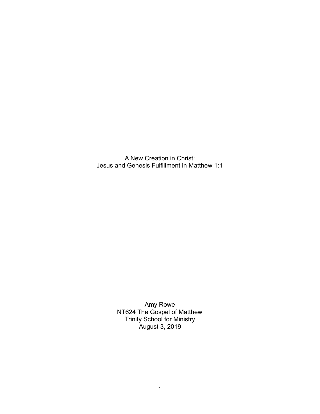A New Creation in Christ: Jesus and Genesis Fulfillment in Matthew 1:1

> Amy Rowe NT624 The Gospel of Matthew Trinity School for Ministry August 3, 2019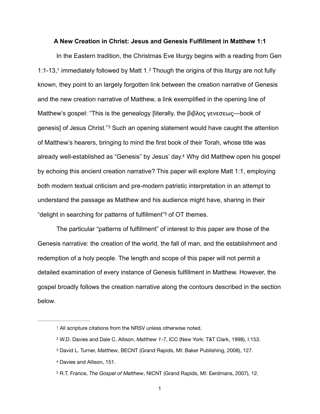### <span id="page-1-6"></span>**A New Creation in Christ: Jesus and Genesis Fulfillment in Matthew 1:1**

<span id="page-1-7"></span><span id="page-1-5"></span> In the Eastern tradition, the Christmas Eve liturgy begins with a reading from Gen 1:1-13,<sup>1</sup>immediately followed by Matt [1](#page-1-0).<sup>2</sup> Though the origins of this liturgy are not fully known, they point to an largely forgotten link between the creation narrative of Genesis and the new creation narrative of Matthew, a link exemplified in the opening line of Matthew's gospel: "This is the genealogy [literally, the βιβλος γενεσεως—book of genesis] of Jesus Christ."<sup>[3](#page-1-2)</sup> Such an opening statement would have caught the attention of Matthew's hearers, bringing to mind the first book of their Torah, whose title was already well-established as "Genesis" by Jesus' day.<sup>[4](#page-1-3)</sup> Why did Matthew open his gospel by echoing this ancient creation narrative? This paper will explore Matt 1:1, employing both modern textual criticism and pre-modern patristic interpretation in an attempt to understand the passage as Matthew and his audience might have, sharing in their "delight in searching for patterns of fulfillment"<sup>[5](#page-1-4)</sup> of OT themes.

<span id="page-1-9"></span><span id="page-1-8"></span> The particular "patterns of fulfillment" of interest to this paper are those of the Genesis narrative: the creation of the world, the fall of man, and the establishment and redemption of a holy people. The length and scope of this paper will not permit a detailed examination of every instance of Genesis fulfillment in Matthew. However, the gospel broadly follows the creation narrative along the contours described in the section below.

<span id="page-1-0"></span><sup>&</sup>lt;sup>[1](#page-1-5)</sup> All scripture citations from the NRSV unless otherwise noted.

<span id="page-1-1"></span>W.D. Davies and Dale C. Allison, *Matthew 1-7*, ICC (New York: T&T Clark, 1998), I:153. [2](#page-1-6)

<span id="page-1-2"></span>David L. Turner, *Matthew*, BECNT (Grand Rapids, MI: Baker Publishing, 2008), 127. [3](#page-1-7)

<span id="page-1-3"></span>[<sup>4</sup>](#page-1-8) Davies and Allison, 151.

<span id="page-1-4"></span><sup>&</sup>lt;sup>[5](#page-1-9)</sup> R.T. France, *The Gospel of Matthew*, NICNT (Grand Rapids, MI: Eerdmans, 2007), 12.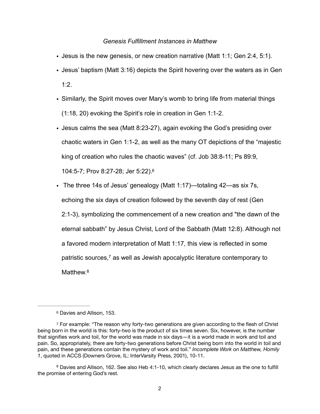## *Genesis Fulfillment Instances in Matthew*

- Jesus is the new genesis, or new creation narrative (Matt 1:1; Gen 2:4, 5:1).
- Jesus' baptism (Matt 3:16) depicts the Spirit hovering over the waters as in Gen  $1:2.$
- Similarly, the Spirit moves over Mary's womb to bring life from material things (1:18, 20) evoking the Spirit's role in creation in Gen 1:1-2.
- Jesus calms the sea (Matt 8:23-27), again evoking the God's presiding over chaotic waters in Gen 1:1-2, as well as the many OT depictions of the "majestic king of creation who rules the chaotic waves" (cf. Job 38:8-11; Ps 89:9, 104:5-7; Prov 8:27-28; Jer 5:22)[. 6](#page-2-0)
- <span id="page-2-3"></span>• The three 14s of Jesus' genealogy (Matt 1:17)—totaling 42—as six 7s, echoing the six days of creation followed by the seventh day of rest (Gen 2:1-3), symbolizing the commencement of a new creation and "the dawn of the eternal sabbath" by Jesus Christ, Lord of the Sabbath (Matt 12:8). Although not a favored modern interpretation of Matt 1:17, this view is reflected in some patristic sources[,](#page-2-1) $<sup>7</sup>$  $<sup>7</sup>$  $<sup>7</sup>$  as well as Jewish apocalyptic literature contemporary to</sup> Matthew<sup>8</sup>

<span id="page-2-5"></span><span id="page-2-4"></span><span id="page-2-1"></span><span id="page-2-0"></span><sup>&</sup>lt;sup>[6](#page-2-3)</sup> Davies and Allison, 153.

<sup>&</sup>lt;sup>7</sup>For example: "The reason why forty-two generations are given according to the flesh of Christ being born in the world is this: forty-two is the product of six times seven. Six, however, is the number that signifies work and toil, for the world was made in six days—it is a world made in work and toil and pain. So, appropriately, there are forty-two generations before Christ being born into the world in toil and pain, and these generations contain the mystery of work and toil." *Incomplete Work on Matthew, Homily 1*, quoted in ACCS (Downers Grove, IL: InterVarsity Press, 2001), 10-11.

<span id="page-2-2"></span>Davies and Allison, 162. See also Heb 4:1-10, which clearly declares Jesus as the one to fulfill [8](#page-2-5) the promise of entering God's rest.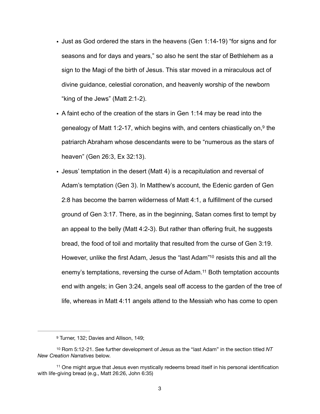- Just as God ordered the stars in the heavens (Gen 1:14-19) "for signs and for seasons and for days and years," so also he sent the star of Bethlehem as a sign to the Magi of the birth of Jesus. This star moved in a miraculous act of divine guidance, celestial coronation, and heavenly worship of the newborn "king of the Jews" (Matt 2:1-2).
- <span id="page-3-3"></span>• A faint echo of the creation of the stars in Gen 1:14 may be read into the genealogy of Matt 1:2-17[,](#page-3-0) which begins with, and centers chiastically on,<sup>[9](#page-3-0)</sup> the patriarch Abraham whose descendants were to be "numerous as the stars of heaven" (Gen 26:3, Ex 32:13).
- Jesus' temptation in the desert (Matt 4) is a recapitulation and reversal of Adam's temptation (Gen 3). In Matthew's account, the Edenic garden of Gen 2:8 has become the barren wilderness of Matt 4:1, a fulfillment of the cursed ground of Gen 3:17. There, as in the beginning, Satan comes first to tempt by an appeal to the belly (Matt 4:2-3). But rather than offering fruit, he suggests bread, the food of toil and mortality that resulted from the curse of Gen 3:19. However, unlike the first Adam, Jesus the ["](#page-3-1)last Adam"<sup>[10](#page-3-1)</sup> resists this and all the enemy's temptations, reversing the curse of Adam[.](#page-3-2)<sup>[11](#page-3-2)</sup> Both temptation accounts end with angels; in Gen 3:24, angels seal off access to the garden of the tree of life, whereas in Matt 4:11 angels attend to the Messiah who has come to open

<span id="page-3-5"></span><span id="page-3-4"></span><span id="page-3-1"></span><span id="page-3-0"></span><sup>9</sup>Turner, 132; Davies and Allison, 14[9](#page-3-3);

<sup>&</sup>lt;sup>[10](#page-3-4)</sup> Rom 5:12-21. See further development of Jesus as the "last Adam" in the section titled NT *New Creation Narratives* below.

<span id="page-3-2"></span> $11$  One might argue that Jesus even mystically redeems bread itself in his personal identification with life-giving bread (e.g., Matt 26:26, John 6:35)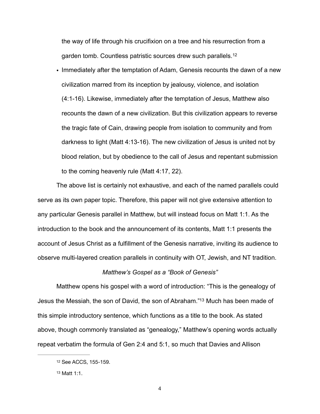<span id="page-4-2"></span>the way of life through his crucifixion on a tree and his resurrection from a garden tomb. Countless patristic sources drew such parallels.[12](#page-4-0)

• Immediately after the temptation of Adam, Genesis recounts the dawn of a new civilization marred from its inception by jealousy, violence, and isolation (4:1-16). Likewise, immediately after the temptation of Jesus, Matthew also recounts the dawn of a new civilization. But this civilization appears to reverse the tragic fate of Cain, drawing people from isolation to community and from darkness to light (Matt 4:13-16). The new civilization of Jesus is united not by blood relation, but by obedience to the call of Jesus and repentant submission to the coming heavenly rule (Matt 4:17, 22).

 The above list is certainly not exhaustive, and each of the named parallels could serve as its own paper topic. Therefore, this paper will not give extensive attention to any particular Genesis parallel in Matthew, but will instead focus on Matt 1:1. As the introduction to the book and the announcement of its contents, Matt 1:1 presents the account of Jesus Christ as a fulfillment of the Genesis narrative, inviting its audience to observe multi-layered creation parallels in continuity with OT, Jewish, and NT tradition.

#### <span id="page-4-3"></span>*Matthew's Gospel as a "Book of Genesis"*

 Matthew opens his gospel with a word of introduction: "This is the genealogy of Jesus the Messiah, the son of David, the son of Abraham.["](#page-4-1)<sup>[13](#page-4-1)</sup> Much has been made of this simple introductory sentence, which functions as a title to the book. As stated above, though commonly translated as "genealogy," Matthew's opening words actually repeat verbatim the formula of Gen 2:4 and 5:1, so much that Davies and Allison

<span id="page-4-0"></span>[<sup>12</sup>](#page-4-2) See ACCS, 155-159.

<span id="page-4-1"></span> $13$  Matt 1:1.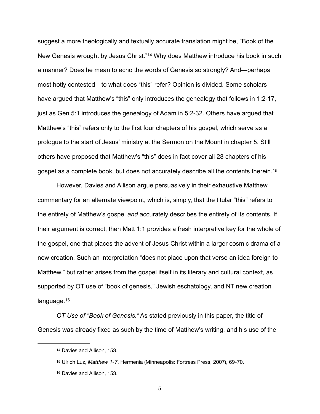<span id="page-5-3"></span>suggest a more theologically and textually accurate translation might be, "Book of the New Genesis wrought by Jesus Christ."<sup>[14](#page-5-0)</sup> Why does Matthew introduce his book in such a manner? Does he mean to echo the words of Genesis so strongly? And—perhaps most hotly contested—to what does "this" refer? Opinion is divided. Some scholars have argued that Matthew's "this" only introduces the genealogy that follows in 1:2-17, just as Gen 5:1 introduces the genealogy of Adam in 5:2-32. Others have argued that Matthew's "this" refers only to the first four chapters of his gospel, which serve as a prologue to the start of Jesus' ministry at the Sermon on the Mount in chapter 5. Still others have proposed that Matthew's "this" does in fact cover all 28 chapters of his gospel as a complete book, but does not accurately describe all the contents therein. [15](#page-5-1)

<span id="page-5-4"></span> However, Davies and Allison argue persuasively in their exhaustive Matthew commentary for an alternate viewpoint, which is, simply, that the titular "this" refers to the entirety of Matthew's gospel *and* accurately describes the entirety of its contents. If their argument is correct, then Matt 1:1 provides a fresh interpretive key for the whole of the gospel, one that places the advent of Jesus Christ within a larger cosmic drama of a new creation. Such an interpretation "does not place upon that verse an idea foreign to Matthew," but rather arises from the gospel itself in its literary and cultural context, as supported by OT use of "book of genesis," Jewish eschatology, and NT new creation language.<sup>16</sup>

<span id="page-5-5"></span>*OT Use of "Book of Genesis."* As stated previously in this paper, the title of Genesis was already fixed as such by the time of Matthew's writing, and his use of the

<span id="page-5-0"></span>[<sup>14</sup>](#page-5-3) Davies and Allison, 153.

<span id="page-5-1"></span><sup>&</sup>lt;sup>[15](#page-5-4)</sup> Ulrich Luz, Matthew 1-7, Hermenia (Minneapolis: Fortress Press, 2007), 69-70.

<span id="page-5-2"></span><sup>&</sup>lt;sup>[16](#page-5-5)</sup> Davies and Allison, 153.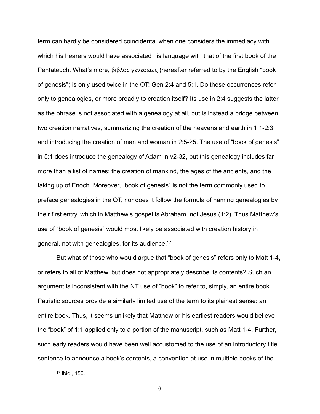term can hardly be considered coincidental when one considers the immediacy with which his hearers would have associated his language with that of the first book of the Pentateuch. What's more, βιβλος γενεσεως (hereafter referred to by the English "book of genesis") is only used twice in the OT: Gen 2:4 and 5:1. Do these occurrences refer only to genealogies, or more broadly to creation itself? Its use in 2:4 suggests the latter, as the phrase is not associated with a genealogy at all, but is instead a bridge between two creation narratives, summarizing the creation of the heavens and earth in 1:1-2:3 and introducing the creation of man and woman in 2:5-25. The use of "book of genesis" in 5:1 does introduce the genealogy of Adam in v2-32, but this genealogy includes far more than a list of names: the creation of mankind, the ages of the ancients, and the taking up of Enoch. Moreover, "book of genesis" is not the term commonly used to preface genealogies in the OT, nor does it follow the formula of naming genealogies by their first entry, which in Matthew's gospel is Abraham, not Jesus (1:2). Thus Matthew's use of "book of genesis" would most likely be associated with creation history in general, not with genealogies, for its audience. [17](#page-6-0)

<span id="page-6-1"></span> But what of those who would argue that "book of genesis" refers only to Matt 1-4, or refers to all of Matthew, but does not appropriately describe its contents? Such an argument is inconsistent with the NT use of "book" to refer to, simply, an entire book. Patristic sources provide a similarly limited use of the term to its plainest sense: an entire book. Thus, it seems unlikely that Matthew or his earliest readers would believe the "book" of 1:1 applied only to a portion of the manuscript, such as Matt 1-4. Further, such early readers would have been well accustomed to the use of an introductory title sentence to announce a book's contents, a convention at use in multiple books of the

<span id="page-6-0"></span> $17$  Ibid., 150.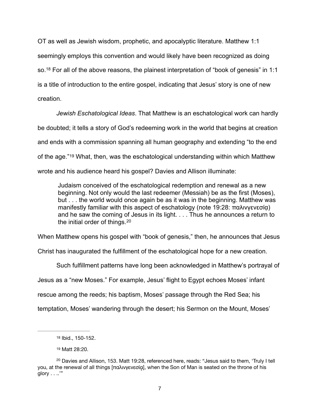<span id="page-7-3"></span>OT as well as Jewish wisdom, prophetic, and apocalyptic literature. Matthew 1:1 seemingly employs this convention and would likely have been recognized as doing so.<sup>[18](#page-7-0)</sup> For all of the above reasons, the plainest interpretation of "book of genesis" in 1:1 is a title of introduction to the entire gospel, indicating that Jesus' story is one of new creation.

*Jewish Eschatological Ideas*. That Matthew is an eschatological work can hardly be doubted; it tells a story of God's redeeming work in the world that begins at creation and ends with a commission spanning all human geography and extending "to the end ofthe age."<sup>[19](#page-7-1)</sup> What, then, was the eschatological understanding within which Matthew wrote and his audience heard his gospel? Davies and Allison illuminate:

<span id="page-7-5"></span><span id="page-7-4"></span>Judaism conceived of the eschatological redemption and renewal as a new beginning. Not only would the last redeemer (Messiah) be as the first (Moses), but . . . the world would once again be as it was in the beginning. Matthew was manifestly familiar with this aspect of eschatology (note 19:28: παλινγενεσίᾳ) and he saw the coming of Jesus in its light. . . . Thus he announces a return to the initial order of things.[20](#page-7-2)

When Matthew opens his gospel with "book of genesis," then, he announces that Jesus

Christ has inaugurated the fulfillment of the eschatological hope for a new creation.

Such fulfillment patterns have long been acknowledged in Matthew's portrayal of

Jesus as a "new Moses." For example, Jesus' flight to Egypt echoes Moses' infant

rescue among the reeds; his baptism, Moses' passage through the Red Sea; his

temptation, Moses' wandering through the desert; his Sermon on the Mount, Moses'

<span id="page-7-0"></span>[<sup>18</sup>](#page-7-3) Ibid., 150-152.

<span id="page-7-2"></span><span id="page-7-1"></span>Matt 28:20. [19](#page-7-4)

 $20$  Davies and Allison, 153. Matt 19:28, referenced here, reads: "Jesus said to them, 'Truly I tell you, at the renewal of all things [παλινγενεσίᾳ], when the Son of Man is seated on the throne of his glory . . ..'"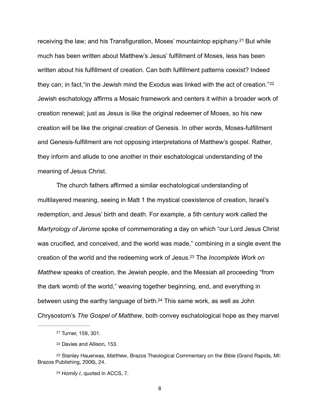<span id="page-8-5"></span><span id="page-8-4"></span>receiving the law; and his Transfiguration, Moses' mountaintop epiphany.<sup>[21](#page-8-0)</sup> But while much has been written about Matthew's Jesus' fulfillment of Moses, less has been written about his fulfillment of creation. Can both fulfillment patterns coexist? Indeed they can; in fact, "in the Jewish mind the Exodus was linked with the act of creation."<sup>[22](#page-8-1)</sup> Jewish eschatology affirms a Mosaic framework and centers it within a broader work of creation renewal; just as Jesus is like the original redeemer of Moses, so his new creation will be like the original creation of Genesis. In other words, Moses-fulfillment and Genesis-fulfillment are not opposing interpretations of Matthew's gospel. Rather, they inform and allude to one another in their eschatological understanding of the meaning of Jesus Christ.

 The church fathers affirmed a similar eschatological understanding of multilayered meaning, seeing in Matt 1 the mystical coexistence of creation, Israel's redemption, and Jesus' birth and death. For example, a 5th century work called the *Martyrology of Jerome* spoke of commemorating a day on which "our Lord Jesus Christ was crucified, and conceived, and the world was made," combining in a single event the creation of the world and the redeeming work of Jesus.<sup>23</sup> The *Incomplete Work on Matthew* speaks of creation, the Jewish people, and the Messiah all proceeding "from the dark womb of the world," weaving together beginning, end, and everything in between using the earthy language of birth[.](#page-8-3)<sup>[24](#page-8-3)</sup> This same work, as well as John Chrysostom's *The Gospel of Matthew*, both convey eschatological hope as they marvel

<span id="page-8-7"></span><span id="page-8-6"></span><span id="page-8-0"></span><sup>&</sup>lt;sup>[21](#page-8-4)</sup> Turner, 159, 301.

<span id="page-8-2"></span><span id="page-8-1"></span><sup>&</sup>lt;sup>[22](#page-8-5)</sup> Davies and Allison, 153.

<sup>&</sup>lt;sup>[23](#page-8-6)</sup> Stanley Hauerwas, *Matthew*, Brazos Theological Commentary on the Bible (Grand Rapids, MI: Brazos Publishing, 2006), 24.

<span id="page-8-3"></span><sup>&</sup>lt;sup>[24](#page-8-7)</sup> Homily I, quoted in ACCS, 7.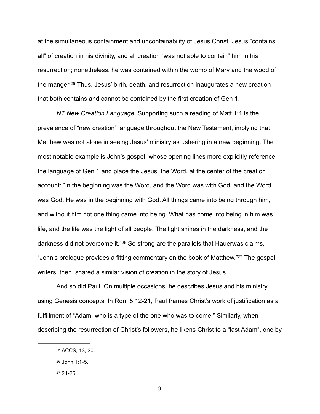at the simultaneous containment and uncontainability of Jesus Christ. Jesus "contains all" of creation in his divinity, and all creation "was not able to contain" him in his resurrection; nonetheless, he was contained within the womb of Mary and the wood of the manger[.](#page-9-0)<sup>[25](#page-9-0)</sup> Thus, Jesus' birth, death, and resurrection inaugurates a new creation that both contains and cannot be contained by the first creation of Gen 1.

<span id="page-9-3"></span>*NT New Creation Language*. Supporting such a reading of Matt 1:1 is the prevalence of "new creation" language throughout the New Testament, implying that Matthew was not alone in seeing Jesus' ministry as ushering in a new beginning. The most notable example is John's gospel, whose opening lines more explicitly reference the language of Gen 1 and place the Jesus, the Word, at the center of the creation account: "In the beginning was the Word, and the Word was with God, and the Word was God. He was in the beginning with God. All things came into being through him, and without him not one thing came into being. What has come into being in him was life, and the life was the light of all people. The light shines in the darkness, and the darknessdid not overcome it."<sup>[26](#page-9-1)</sup> So strong are the parallels that Hauerwas claims, ["](#page-9-2)John's prologue provides a fitting commentary on the book of Matthew."<sup>[27](#page-9-2)</sup> The gospel writers, then, shared a similar vision of creation in the story of Jesus.

<span id="page-9-5"></span><span id="page-9-4"></span> And so did Paul. On multiple occasions, he describes Jesus and his ministry using Genesis concepts. In Rom 5:12-21, Paul frames Christ's work of justification as a fulfillment of "Adam, who is a type of the one who was to come." Similarly, when describing the resurrection of Christ's followers, he likens Christ to a "last Adam", one by

<span id="page-9-0"></span>[<sup>25</sup>](#page-9-3) ACCS, 13, 20.

<span id="page-9-1"></span>[<sup>26</sup>](#page-9-4) John 1:1-5.

<span id="page-9-2"></span> $27, 24-25.$  $27, 24-25.$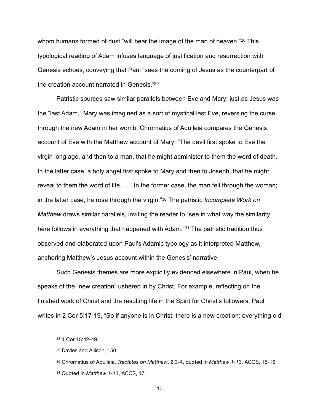<span id="page-10-4"></span>whomhumans formed of dust "will bear the image of the man of heaven."<sup>[28](#page-10-0)</sup> This typological reading of Adam infuses language of justification and resurrection with Genesis echoes, conveying that Paul "sees the coming of Jesus as the counterpart of the creation account narrated in Genesis.["](#page-10-1)<sup>[29](#page-10-1)</sup>

<span id="page-10-5"></span> Patristic sources saw similar parallels between Eve and Mary; just as Jesus was the "last Adam," Mary was imagined as a sort of mystical last Eve, reversing the curse through the new Adam in her womb. Chromatius of Aquileia compares the Genesis account of Eve with the Matthew account of Mary: "The devil first spoke to Eve the virgin long ago, and then to a man, that he might administer to them the word of death. In the latter case, a holy angel first spoke to Mary and then to Joseph, that he might reveal to them the word of life. . . . In the former case, the man fell through the woman; in the latter case, he rose through the virgin.["](#page-10-2)<sup>30</sup> The patristic *Incomplete Work on Matthew* draws similar parallels, inviting the reader to "see in what way the similarity here follows in everything that happened with Adam.<sup>"[31](#page-10-3)</sup> The patristic tradition thus observed and elaborated upon Paul's Adamic typology as it interpreted Matthew, anchoring Matthew's Jesus account within the Genesis' narrative.

<span id="page-10-7"></span><span id="page-10-6"></span> Such Genesis themes are more explicitly evidenced elsewhere in Paul, when he speaks of the "new creation" ushered in by Christ. For example, reflecting on the finished work of Christ and the resulting life in the Spirit for Christ's followers, Paul writes in 2 Cor 5:17-19, "So if anyone is in Christ, there is a new creation: everything old

<span id="page-10-0"></span><sup>&</sup>lt;sup>[28](#page-10-4)</sup> 1 Cor 15:42-49.

<span id="page-10-1"></span><sup>&</sup>lt;sup>[29](#page-10-5)</sup> Davies and Allison, 150.

<span id="page-10-2"></span>Chromatius of Aquileia, *Tractates on Matthew*, 2.3-4, quoted in *Matthew 1-13*, ACCS, 15-16. [30](#page-10-6)

<span id="page-10-3"></span><sup>&</sup>lt;sup>[31](#page-10-7)</sup> Quoted in *Matthew 1-13*, ACCS, 17.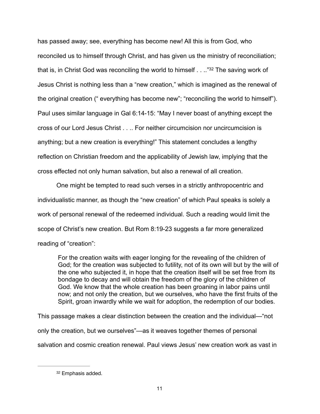<span id="page-11-1"></span>has passed away; see, everything has become new! All this is from God, who reconciled us to himself through Christ, and has given us the ministry of reconciliation; that is, in Christ God was reconciling the world to himself  $\ldots$  ["](#page-11-0)[32](#page-11-0) The saving work of Jesus Christ is nothing less than a "new creation," which is imagined as the renewal of the original creation (" everything has become new"; "reconciling the world to himself"). Paul uses similar language in Gal 6:14-15: "May I never boast of anything except the cross of our Lord Jesus Christ . . .. For neither circumcision nor uncircumcision is anything; but a new creation is everything!" This statement concludes a lengthy reflection on Christian freedom and the applicability of Jewish law, implying that the cross effected not only human salvation, but also a renewal of all creation.

 One might be tempted to read such verses in a strictly anthropocentric and individualistic manner, as though the "new creation" of which Paul speaks is solely a work of personal renewal of the redeemed individual. Such a reading would limit the scope of Christ's new creation. But Rom 8:19-23 suggests a far more generalized reading of "creation":

For the creation waits with eager longing for the revealing of the children of God; for the creation was subjected to futility, not of its own will but by the will of the one who subjected it, in hope that the creation itself will be set free from its bondage to decay and will obtain the freedom of the glory of the children of God. We know that the whole creation has been groaning in labor pains until now; and not only the creation, but we ourselves, who have the first fruits of the Spirit, groan inwardly while we wait for adoption, the redemption of our bodies.

This passage makes a clear distinction between the creation and the individual—"not only the creation, but we ourselves"—as it weaves together themes of personal salvation and cosmic creation renewal. Paul views Jesus' new creation work as vast in

<span id="page-11-0"></span>[<sup>32</sup>](#page-11-1) Emphasis added.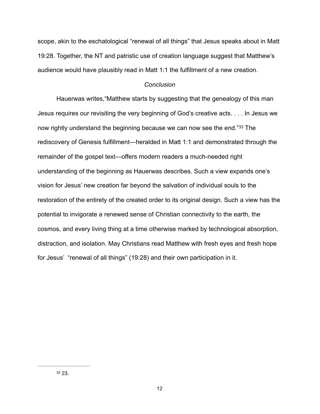scope, akin to the eschatological "renewal of all things" that Jesus speaks about in Matt 19:28. Together, the NT and patristic use of creation language suggest that Matthew's audience would have plausibly read in Matt 1:1 the fulfillment of a new creation.

## <span id="page-12-1"></span>*Conclusion*

<span id="page-12-0"></span>Hauerwas writes,"Matthew starts by suggesting that the genealogy of this man Jesus requires our revisiting the very beginning of God's creative acts. . . . In Jesus we nowrightly understand the beginning because we can now see the end."[33](#page-12-0) The rediscovery of Genesis fulfillment—heralded in Matt 1:1 and demonstrated through the remainder of the gospel text—offers modern readers a much-needed right understanding of the beginning as Hauerwas describes. Such a view expands one's vision for Jesus' new creation far beyond the salvation of individual souls to the restoration of the entirety of the created order to its original design. Such a view has the potential to invigorate a renewed sense of Christian connectivity to the earth, the cosmos, and every living thing at a time otherwise marked by technological absorption, distraction, and isolation. May Christians read Matthew with fresh eyes and fresh hope for Jesus' "renewal of all things" (19:28) and their own participation in it.